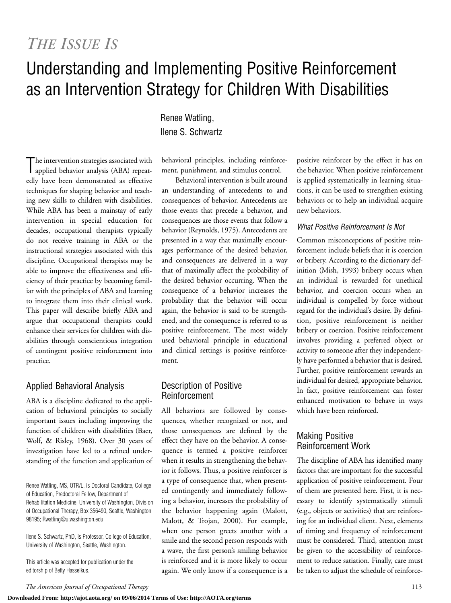## *THE ISSUE IS*

# Understanding and Implementing Positive Reinforcement as an Intervention Strategy for Children With Disabilities

The intervention strategies associated with<br>applied behavior analysis (ABA) repeatapplied behavior analysis (ABA) repeatedly have been demonstrated as effective techniques for shaping behavior and teaching new skills to children with disabilities. While ABA has been a mainstay of early intervention in special education for decades, occupational therapists typically do not receive training in ABA or the instructional strategies associated with this discipline. Occupational therapists may be able to improve the effectiveness and efficiency of their practice by becoming familiar with the principles of ABA and learning to integrate them into their clinical work. This paper will describe briefly ABA and argue that occupational therapists could enhance their services for children with disabilities through conscientious integration of contingent positive reinforcement into practice.

## Applied Behavioral Analysis

ABA is a discipline dedicated to the application of behavioral principles to socially important issues including improving the function of children with disabilities (Baer, Wolf, & Risley, 1968). Over 30 years of investigation have led to a refined understanding of the function and application of

Renee Watling, MS, OTR/L, is Doctoral Candidate, College of Education, Predoctoral Fellow, Department of Rehabilitation Medicine, University of Washington, Division of Occupational Therapy, Box 356490, Seattle, Washington 98195; Rwatling@u.washington.edu

Ilene S. Schwartz, PhD, is Professor, College of Education, University of Washington, Seattle, Washington.

This article was accepted for publication under the editorship of Betty Hasselkus.

Renee Watling, Ilene S. Schwartz

behavioral principles, including reinforcement, punishment, and stimulus control.

Behavioral intervention is built around an understanding of antecedents to and consequences of behavior. Antecedents are those events that precede a behavior, and consequences are those events that follow a behavior (Reynolds, 1975). Antecedents are presented in a way that maximally encourages performance of the desired behavior, and consequences are delivered in a way that of maximally affect the probability of the desired behavior occurring. When the consequence of a behavior increases the probability that the behavior will occur again, the behavior is said to be strengthened, and the consequence is referred to as positive reinforcement. The most widely used behavioral principle in educational and clinical settings is positive reinforcement.

#### Description of Positive Reinforcement

All behaviors are followed by consequences, whether recognized or not, and those consequences are defined by the effect they have on the behavior. A consequence is termed a positive reinforcer when it results in strengthening the behavior it follows. Thus, a positive reinforcer is a type of consequence that, when presented contingently and immediately following a behavior, increases the probability of the behavior happening again (Malott, Malott, & Trojan, 2000). For example, when one person greets another with a smile and the second person responds with a wave, the first person's smiling behavior is reinforced and it is more likely to occur again. We only know if a consequence is a positive reinforcer by the effect it has on the behavior. When positive reinforcement is applied systematically in learning situations, it can be used to strengthen existing behaviors or to help an individual acquire new behaviors.

#### *What Positive Reinforcement Is Not*

Common misconceptions of positive reinforcement include beliefs that it is coercion or bribery. According to the dictionary definition (Mish, 1993) bribery occurs when an individual is rewarded for unethical behavior, and coercion occurs when an individual is compelled by force without regard for the individual's desire. By definition, positive reinforcement is neither bribery or coercion. Positive reinforcement involves providing a preferred object or activity to someone after they independently have performed a behavior that is desired. Further, positive reinforcement rewards an individual for desired, appropriate behavior. In fact, positive reinforcement can foster enhanced motivation to behave in ways which have been reinforced.

## Making Positive Reinforcement Work

The discipline of ABA has identified many factors that are important for the successful application of positive reinforcement. Four of them are presented here. First, it is necessary to identify systematically stimuli (e.g., objects or activities) that are reinforcing for an individual client. Next, elements of timing and frequency of reinforcement must be considered. Third, attention must be given to the accessibility of reinforcement to reduce satiation. Finally, care must be taken to adjust the schedule of reinforce-

*The American Journal of Occupational Therapy* 113

**Downloaded From: http://ajot.aota.org/ on 09/06/2014 Terms of Use: http://AOTA.org/terms**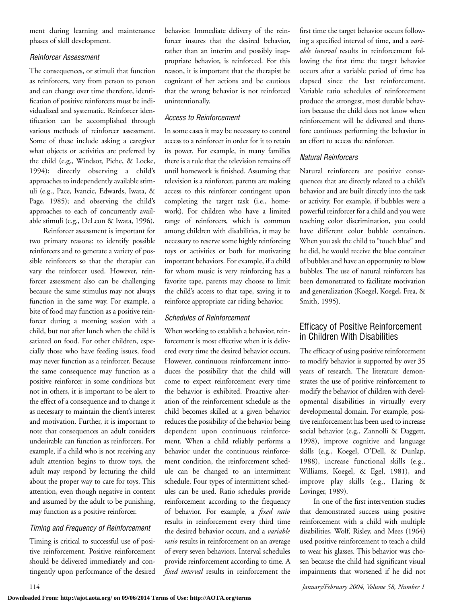ment during learning and maintenance phases of skill development.

#### *Reinforcer Assessment*

The consequences, or stimuli that function as reinforcers, vary from person to person and can change over time therefore, identification of positive reinforcers must be individualized and systematic. Reinforcer identification can be accomplished through various methods of reinforcer assessment. Some of these include asking a caregiver what objects or activities are preferred by the child (e.g., Windsor, Piche, & Locke, 1994); directly observing a child's approaches to independently available stimuli (e.g., Pace, Ivancic, Edwards, Iwata, & Page, 1985); and observing the child's approaches to each of concurrently available stimuli (e.g., DeLeon & Iwata, 1996).

Reinforcer assessment is important for two primary reasons: to identify possible reinforcers and to generate a variety of possible reinforcers so that the therapist can vary the reinforcer used. However, reinforcer assessment also can be challenging because the same stimulus may not always function in the same way. For example, a bite of food may function as a positive reinforcer during a morning session with a child, but not after lunch when the child is satiated on food. For other children, especially those who have feeding issues, food may never function as a reinforcer. Because the same consequence may function as a positive reinforcer in some conditions but not in others, it is important to be alert to the effect of a consequence and to change it as necessary to maintain the client's interest and motivation. Further, it is important to note that consequences an adult considers undesirable can function as reinforcers. For example, if a child who is not receiving any adult attention begins to throw toys, the adult may respond by lecturing the child about the proper way to care for toys. This attention, even though negative in content and assumed by the adult to be punishing, may function as a positive reinforcer.

#### *Timing and Frequency of Reinforcement*

Timing is critical to successful use of positive reinforcement. Positive reinforcement should be delivered immediately and contingently upon performance of the desired behavior. Immediate delivery of the reinforcer insures that the desired behavior, rather than an interim and possibly inappropriate behavior, is reinforced. For this reason, it is important that the therapist be cognizant of her actions and be cautious that the wrong behavior is not reinforced unintentionally.

#### *Access to Reinforcement*

In some cases it may be necessary to control access to a reinforcer in order for it to retain its power. For example, in many families there is a rule that the television remains off until homework is finished. Assuming that television is a reinforcer, parents are making access to this reinforcer contingent upon completing the target task (i.e., homework). For children who have a limited range of reinforcers, which is common among children with disabilities, it may be necessary to reserve some highly reinforcing toys or activities or both for motivating important behaviors. For example, if a child for whom music is very reinforcing has a favorite tape, parents may choose to limit the child's access to that tape, saving it to reinforce appropriate car riding behavior.

#### *Schedules of Reinforcement*

When working to establish a behavior, reinforcement is most effective when it is delivered every time the desired behavior occurs. However, continuous reinforcement introduces the possibility that the child will come to expect reinforcement every time the behavior is exhibited. Proactive alteration of the reinforcement schedule as the child becomes skilled at a given behavior reduces the possibility of the behavior being dependent upon continuous reinforcement. When a child reliably performs a behavior under the continuous reinforcement condition, the reinforcement schedule can be changed to an intermittent schedule. Four types of intermittent schedules can be used. Ratio schedules provide reinforcement according to the frequency of behavior. For example, a *fixed ratio* results in reinforcement every third time the desired behavior occurs, and a *variable ratio* results in reinforcement on an average of every seven behaviors. Interval schedules provide reinforcement according to time. A *fixed interval* results in reinforcement the first time the target behavior occurs following a specified interval of time, and a *variable interval* results in reinforcement following the first time the target behavior occurs after a variable period of time has elapsed since the last reinforcement. Variable ratio schedules of reinforcement produce the strongest, most durable behaviors because the child does not know when reinforcement will be delivered and therefore continues performing the behavior in an effort to access the reinforcer.

## *Natural Reinforcers*

Natural reinforcers are positive consequences that are directly related to a child's behavior and are built directly into the task or activity. For example, if bubbles were a powerful reinforcer for a child and you were teaching color discrimination, you could have different color bubble containers. When you ask the child to "touch blue" and he did, he would receive the blue container of bubbles and have an opportunity to blow bubbles. The use of natural reinforcers has been demonstrated to facilitate motivation and generalization (Koegel, Koegel, Frea, & Smith, 1995).

## Efficacy of Positive Reinforcement in Children With Disabilities

The efficacy of using positive reinforcement to modify behavior is supported by over 35 years of research. The literature demonstrates the use of positive reinforcement to modify the behavior of children with developmental disabilities in virtually every developmental domain. For example, positive reinforcement has been used to increase social behavior (e.g., Zannolli & Daggett, 1998), improve cognitive and language skills (e.g., Koegel, O'Dell, & Dunlap, 1988), increase functional skills (e.g., Williams, Koegel, & Egel, 1981), and improve play skills (e.g., Haring & Lovinger, 1989).

In one of the first intervention studies that demonstrated success using positive reinforcement with a child with multiple disabilities, Wolf, Risley, and Mees (1964) used positive reinforcement to teach a child to wear his glasses. This behavior was chosen because the child had significant visual impairments that worsened if he did not

114 *January/February 2004, Volume 58, Number 1*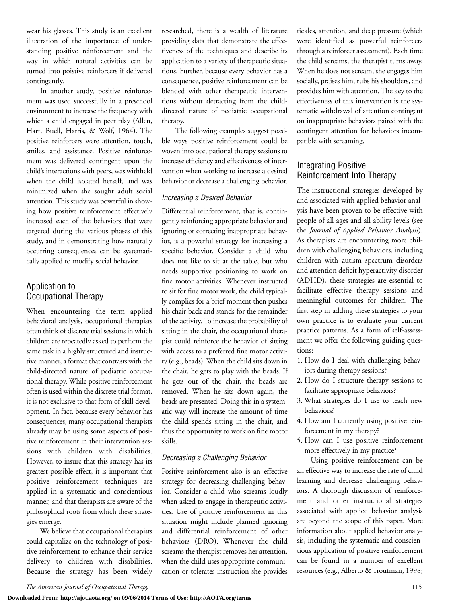wear his glasses. This study is an excellent illustration of the importance of understanding positive reinforcement and the way in which natural activities can be turned into poistive reinforcers if delivered contingently.

In another study, positive reinforcement was used successfully in a preschool environment to increase the frequency with which a child engaged in peer play (Allen, Hart, Buell, Harris, & Wolf, 1964). The positive reinforcers were attention, touch, smiles, and assistance. Positive reinforcement was delivered contingent upon the child's interactions with peers, was withheld when the child isolated herself, and was minimized when she sought adult social attention. This study was powerful in showing how positive reinforcement effectively increased each of the behaviors that were targeted during the various phases of this study, and in demonstrating how naturally occurring consequences can be systematically applied to modify social behavior.

## Application to Occupational Therapy

When encountering the term applied behavioral analysis, occupational therapists often think of discrete trial sessions in which children are repeatedly asked to perform the same task in a highly structured and instructive manner, a format that contrasts with the child-directed nature of pediatric occupational therapy. While positive reinforcement often is used within the discrete trial format, it is not exclusive to that form of skill development. In fact, because every behavior has consequences, many occupational therapists already may be using some aspects of positive reinforcement in their intervention sessions with children with disabilities. However, to insure that this strategy has its greatest possible effect, it is important that positive reinforcement techniques are applied in a systematic and conscientious manner, and that therapists are aware of the philosophical roots from which these strategies emerge.

We believe that occupational therapists could capitalize on the technology of positive reinforcement to enhance their service delivery to children with disabilities. Because the strategy has been widely researched, there is a wealth of literature providing data that demonstrate the effectiveness of the techniques and describe its application to a variety of therapeutic situations. Further, because every behavior has a consequence, positive reinforcement can be blended with other therapeutic interventions without detracting from the childdirected nature of pediatric occupational therapy.

The following examples suggest possible ways positive reinforcement could be woven into occupational therapy sessions to increase efficiency and effectiveness of intervention when working to increase a desired behavior or decrease a challenging behavior.

#### *Increasing a Desired Behavior*

Differential reinforcement, that is, contingently reinforcing appropriate behavior and ignoring or correcting inappropriate behavior, is a powerful strategy for increasing a specific behavior. Consider a child who does not like to sit at the table, but who needs supportive positioning to work on fine motor activities. Whenever instructed to sit for fine motor work, the child typically complies for a brief moment then pushes his chair back and stands for the remainder of the activity. To increase the probability of sitting in the chair, the occupational therapist could reinforce the behavior of sitting with access to a preferred fine motor activity (e.g., beads). When the child sits down in the chair, he gets to play with the beads. If he gets out of the chair, the beads are removed. When he sits down again, the beads are presented. Doing this in a systematic way will increase the amount of time the child spends sitting in the chair, and thus the opportunity to work on fine motor skills.

#### *Decreasing a Challenging Behavior*

Positive reinforcement also is an effective strategy for decreasing challenging behavior. Consider a child who screams loudly when asked to engage in therapeutic activities. Use of positive reinforcement in this situation might include planned ignoring and differential reinforcement of other behaviors (DRO). Whenever the child screams the therapist removes her attention, when the child uses appropriate communication or tolerates instruction she provides tickles, attention, and deep pressure (which were identified as powerful reinforcers through a reinforcer assessment). Each time the child screams, the therapist turns away. When he does not scream, she engages him socially, praises him, rubs his shoulders, and provides him with attention. The key to the effectiveness of this intervention is the systematic withdrawal of attention contingent on inappropriate behaviors paired with the contingent attention for behaviors incompatible with screaming.

## Integrating Positive Reinforcement Into Therapy

The instructional strategies developed by and associated with applied behavior analysis have been proven to be effective with people of all ages and all ability levels (see the *Journal of Applied Behavior Analysis*). As therapists are encountering more children with challenging behaviors, including children with autism spectrum disorders and attention deficit hyperactivity disorder (ADHD), these strategies are essential to facilitate effective therapy sessions and meaningful outcomes for children. The first step in adding these strategies to your own practice is to evaluate your current practice patterns. As a form of self-assessment we offer the following guiding questions:

- 1. How do I deal with challenging behaviors during therapy sessions?
- 2. How do I structure therapy sessions to facilitate appropriate behaviors?
- 3. What strategies do I use to teach new behaviors?
- 4. How am I currently using positive reinforcement in my therapy?
- 5. How can I use positive reinforcement more effectively in my practice?

Using positive reinforcement can be an effective way to increase the rate of child learning and decrease challenging behaviors. A thorough discussion of reinforcement and other instructional strategies associated with applied behavior analysis are beyond the scope of this paper. More information about applied behavior analysis, including the systematic and conscientious application of positive reinforcement can be found in a number of excellent resources (e.g., Alberto & Troutman, 1998;

**Downloaded From: http://ajot.aota.org/ on 09/06/2014 Terms of Use: http://AOTA.org/terms**